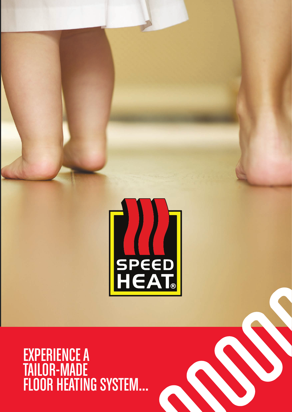

EXPERIENCE A TAILOR-MADE FLOOR HEATING SYSTEM...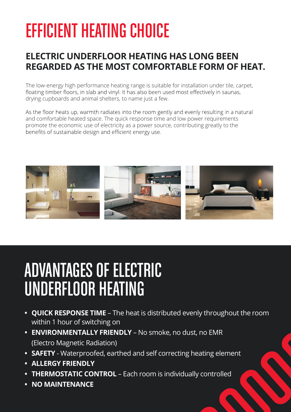# EFFICIENT HEATING CHOICE

#### **ELECTRIC UNDERFLOOR HEATING HAS LONG BEEN REGARDED AS THE MOST COMFORTABLE FORM OF HEAT.**

The low-energy high performance heating range is suitable for installation under tile, carpet,<br>floating timber floors, in slab and vinyl. It has also been used most effectively in saunas, drying cupboards and animal shelters, to name just a few.

As the floor heats up, warmth radiates into the room gently and evenly resulting in a natural and comfortable heated space. The quick response time and low power requirements promote the economic use of electricity as a power source, contributing greatly to the benefits of sustainable design and efficient energy use.



## ADVANTAGES OF ELECTRIC UNDERFLOOR HEATING

- **• QUICK RESPONSE TIME** The heat is distributed evenly throughout the room within 1 hour of switching on
- **• ENVIRONMENTALLY FRIENDLY** No smoke, no dust, no EMR (Electro Magnetic Radiation)
- **• SAFETY** Waterproofed, earthed and self correcting heating element
- **• ALLERGY FRIENDLY**
- **• THERMOSTATIC CONTROL** Each room is individually controlled
- **• NO MAINTENANCE**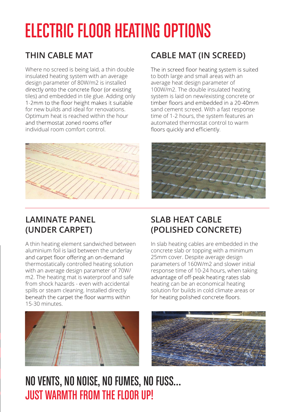# ELECTRIC FLOOR HEATING OPTIONS

#### **THIN CABLE MAT**

Where no screed is being laid, a thin double insulated heating system with an average design parameter of 80W/m2 is installed directly onto the concrete floor (or existing tiles) and embedded in tile glue. Adding only<br>1-2mm to the floor height makes it suitable for new builds and ideal for renovations. Optimum heat is reached within the hour individual room comfort control.



#### **CABLE MAT (IN SCREED)**

The in screed floor heating system is suited to both large and small areas with an average heat design parameter of 100W/m2. The double insulated heating system is laid on new/existing concrete or<br>timber floors and embedded in a 20-40mm sand cement screed. With a fast response time of 1-2 hours, the system features an automated thermostat control to warm<br>floors quickly and efficiently.



#### **LAMINATE PANEL (UNDER CARPET)**

A thin heating element sandwiched between aluminium foil is laid between the underlay<br>and carpet floor offering an on-demand thermostatically controlled heating solution with an average design parameter of 70W/ m2. The heating mat is waterproof and safe from shock hazards - even with accidental spills or steam cleaning. Installed directly<br>beneath the carpet the floor warms within 15-30 minutes.



#### **SLAB HEAT CABLE (POLISHED CONCRETE)**

In slab heating cables are embedded in the concrete slab or topping with a minimum 25mm cover. Despite average design parameters of 160W/m2 and slower initial response time of 10-24 hours, when taking advantage of off-peak heating rates slab heating can be an economical heating solution for builds in cold climate areas or<br>for heating polished concrete floors.



## NOVENTS, NO NOISE, NO FUMES, NO FUSS… JUST WARMTH FROM THE FLOOR UP!